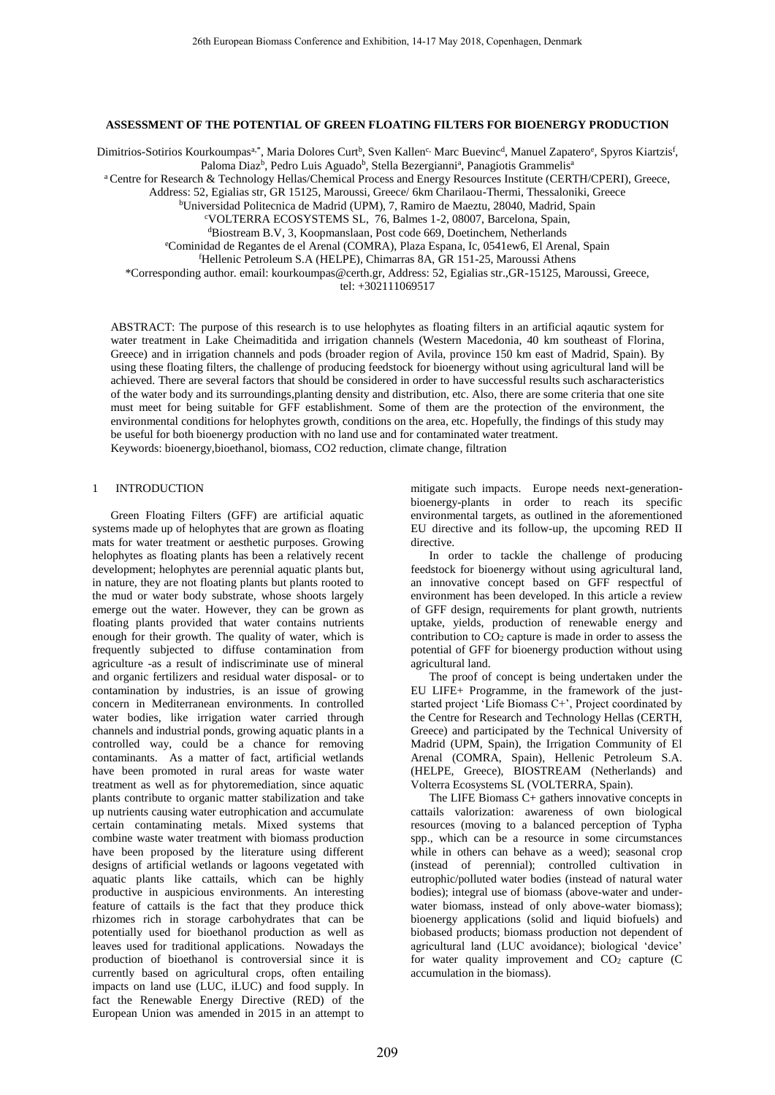## **ASSESSMENT OF THE POTENTIAL OF GREEN FLOATING FILTERS FOR BIOENERGY PRODUCTION**

Dimitrios-Sotirios Kourkoumpas<sup>a,\*</sup>, Maria Dolores Curt<sup>b</sup>, Sven Kallen<sup>c,</sup> Marc Buevinc<sup>d</sup>, Manuel Zapatero<sup>e</sup>, Spyros Kiartzis<sup>f</sup>, Paloma Diaz<sup>b</sup>, Pedro Luis Aguado<sup>b</sup>, Stella Bezergianni<sup>a</sup>, Panagiotis Grammelis<sup>a</sup>

a Centre for Research & Technology Hellas/Chemical Process and Energy Resources Institute (CERTH/CPERI), Greece,

Address: 52, Egialias str, GR 15125, Maroussi, Greece/ 6km Charilaou-Thermi, Thessaloniki, Greece

<sup>b</sup>Universidad Politecnica de Madrid (UPM), 7, Ramiro de Maeztu, 28040, Madrid, Spain

<sup>c</sup>VOLTERRA ECOSYSTEMS SL, 76, Balmes 1-2, 08007, Barcelona, Spain,

<sup>d</sup>Biostream B.V, 3, Koopmanslaan, Post code 669, Doetinchem, Netherlands

<sup>e</sup>Cominidad de Regantes de el Arenal (COMRA), Plaza Espana, Ic, 0541ew6, El Arenal, Spain

<sup>f</sup>Hellenic Petroleum S.A (HELPE), Chimarras 8A, GR 151-25, Maroussi Athens

\*Corresponding author. email: kourkoumpas@certh.gr, Address: 52, Egialias str.,GR-15125, Maroussi, Greece,

tel: +302111069517

ABSTRACT: The purpose of this research is to use helophytes as floating filters in an artificial aqautic system for water treatment in Lake Cheimaditida and irrigation channels (Western Macedonia, 40 km southeast of Florina, Greece) and in irrigation channels and pods (broader region of Avila, province 150 km east of Madrid, Spain). By using these floating filters, the challenge of producing feedstock for bioenergy without using agricultural land will be achieved. There are several factors that should be considered in order to have successful results such ascharacteristics of the water body and its surroundings,planting density and distribution, etc. Also, there are some criteria that one site must meet for being suitable for GFF establishment. Some of them are the protection of the environment, the environmental conditions for helophytes growth, conditions on the area, etc. Hopefully, the findings of this study may be useful for both bioenergy production with no land use and for contaminated water treatment. Keywords: bioenergy,bioethanol, biomass, CO2 reduction, climate change, filtration

### 1 INTRODUCTION

Green Floating Filters (GFF) are artificial aquatic systems made up of helophytes that are grown as floating mats for water treatment or aesthetic purposes. Growing helophytes as floating plants has been a relatively recent development; helophytes are perennial aquatic plants but, in nature, they are not floating plants but plants rooted to the mud or water body substrate, whose shoots largely emerge out the water. However, they can be grown as floating plants provided that water contains nutrients enough for their growth. The quality of water, which is frequently subjected to diffuse contamination from agriculture -as a result of indiscriminate use of mineral and organic fertilizers and residual water disposal- or to contamination by industries, is an issue of growing concern in Mediterranean environments. In controlled water bodies, like irrigation water carried through channels and industrial ponds, growing aquatic plants in a controlled way, could be a chance for removing contaminants. As a matter of fact, artificial wetlands have been promoted in rural areas for waste water treatment as well as for phytoremediation, since aquatic plants contribute to organic matter stabilization and take up nutrients causing water eutrophication and accumulate certain contaminating metals. Mixed systems that combine waste water treatment with biomass production have been proposed by the literature using different designs of artificial wetlands or lagoons vegetated with aquatic plants like cattails, which can be highly productive in auspicious environments. An interesting feature of cattails is the fact that they produce thick rhizomes rich in storage carbohydrates that can be potentially used for bioethanol production as well as leaves used for traditional applications. Nowadays the production of bioethanol is controversial since it is currently based on agricultural crops, often entailing impacts on land use (LUC, iLUC) and food supply. In fact the Renewable Energy Directive (RED) of the European Union was amended in 2015 in an attempt to

mitigate such impacts. Europe needs next-generationbioenergy-plants in order to reach its specific environmental targets, as outlined in the aforementioned EU directive and its follow-up, the upcoming RED II directive.

In order to tackle the challenge of producing feedstock for bioenergy without using agricultural land, an innovative concept based on GFF respectful of environment has been developed. In this article a review of GFF design, requirements for plant growth, nutrients uptake, yields, production of renewable energy and contribution to  $CO<sub>2</sub>$  capture is made in order to assess the potential of GFF for bioenergy production without using agricultural land.

The proof of concept is being undertaken under the EU LIFE+ Programme, in the framework of the juststarted project 'Life Biomass C+', Project coordinated by the Centre for Research and Technology Hellas (CERTH, Greece) and participated by the Technical University of Madrid (UPM, Spain), the Irrigation Community of El Arenal (COMRA, Spain), Hellenic Petroleum S.A. (HELPE, Greece), BIOSTREAM (Netherlands) and Volterra Ecosystems SL (VOLTERRA, Spain).

The LIFE Biomass C+ gathers innovative concepts in cattails valorization: awareness of own biological resources (moving to a balanced perception of Typha spp., which can be a resource in some circumstances while in others can behave as a weed); seasonal crop (instead of perennial); controlled cultivation in eutrophic/polluted water bodies (instead of natural water bodies); integral use of biomass (above-water and underwater biomass, instead of only above-water biomass); bioenergy applications (solid and liquid biofuels) and biobased products; biomass production not dependent of agricultural land (LUC avoidance); biological 'device' for water quality improvement and  $CO<sub>2</sub>$  capture (C accumulation in the biomass).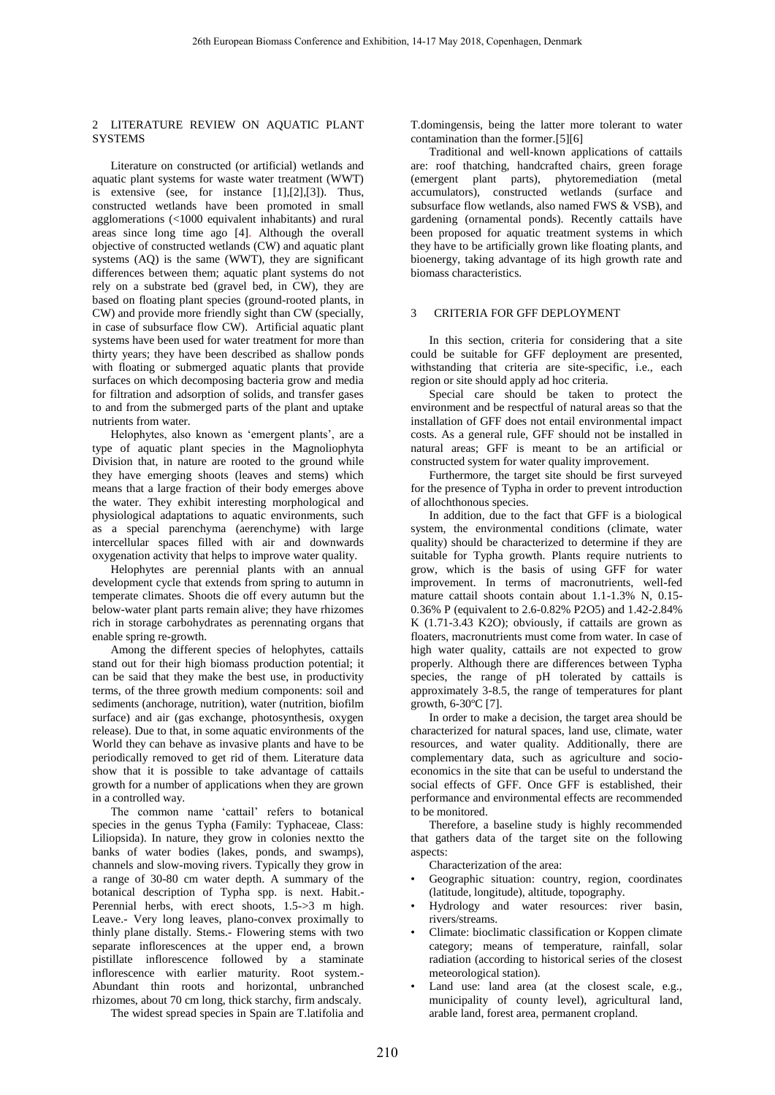## 2 LITERATURE REVIEW ON AQUATIC PLANT **SYSTEMS**

Literature on constructed (or artificial) wetlands and aquatic plant systems for waste water treatment (WWT) is extensive (see, for instance [\[1\]](#page-4-0),[\[2\]](#page-4-1),[\[3\]](#page-4-2)). Thus, constructed wetlands have been promoted in small agglomerations (<1000 equivalent inhabitants) and rural areas since long time ago [\[4\]](#page-4-3). Although the overall objective of constructed wetlands (CW) and aquatic plant systems (AQ) is the same (WWT), they are significant differences between them; aquatic plant systems do not rely on a substrate bed (gravel bed, in CW), they are based on floating plant species (ground-rooted plants, in CW) and provide more friendly sight than CW (specially, in case of subsurface flow CW). Artificial aquatic plant systems have been used for water treatment for more than thirty years; they have been described as shallow ponds with floating or submerged aquatic plants that provide surfaces on which decomposing bacteria grow and media for filtration and adsorption of solids, and transfer gases to and from the submerged parts of the plant and uptake nutrients from water.

Helophytes, also known as 'emergent plants', are a type of aquatic plant species in the Magnoliophyta Division that, in nature are rooted to the ground while they have emerging shoots (leaves and stems) which means that a large fraction of their body emerges above the water. They exhibit interesting morphological and physiological adaptations to aquatic environments, such as a special parenchyma (aerenchyme) with large intercellular spaces filled with air and downwards oxygenation activity that helps to improve water quality.

Helophytes are perennial plants with an annual development cycle that extends from spring to autumn in temperate climates. Shoots die off every autumn but the below-water plant parts remain alive; they have rhizomes rich in storage carbohydrates as perennating organs that enable spring re-growth.

Among the different species of helophytes, cattails stand out for their high biomass production potential; it can be said that they make the best use, in productivity terms, of the three growth medium components: soil and sediments (anchorage, nutrition), water (nutrition, biofilm surface) and air (gas exchange, photosynthesis, oxygen release). Due to that, in some aquatic environments of the World they can behave as invasive plants and have to be periodically removed to get rid of them. Literature data show that it is possible to take advantage of cattails growth for a number of applications when they are grown in a controlled way.

The common name 'cattail' refers to botanical species in the genus Typha (Family: Typhaceae, Class: Liliopsida). In nature, they grow in colonies nextto the banks of water bodies (lakes, ponds, and swamps), channels and slow-moving rivers. Typically they grow in a range of 30-80 cm water depth. A summary of the botanical description of Typha spp. is next. Habit.- Perennial herbs, with erect shoots, 1.5->3 m high. Leave.- Very long leaves, plano-convex proximally to thinly plane distally. Stems.- Flowering stems with two separate inflorescences at the upper end, a brown pistillate inflorescence followed by a staminate inflorescence with earlier maturity. Root system.- Abundant thin roots and horizontal, unbranched rhizomes, about 70 cm long, thick starchy, firm andscaly.

The widest spread species in Spain are T.latifolia and

T.domingensis, being the latter more tolerant to water contamination than the former.[\[5\]](#page-4-4)[\[6\]](#page-4-5)

Traditional and well-known applications of cattails are: roof thatching, handcrafted chairs, green forage (emergent plant parts), phytoremediation (metal accumulators), constructed wetlands (surface and subsurface flow wetlands, also named FWS & VSB), and gardening (ornamental ponds). Recently cattails have been proposed for aquatic treatment systems in which they have to be artificially grown like floating plants, and bioenergy, taking advantage of its high growth rate and biomass characteristics.

### 3 CRITERIA FOR GFF DEPLOYMENT

In this section, criteria for considering that a site could be suitable for GFF deployment are presented, withstanding that criteria are site-specific, i.e., each region or site should apply ad hoc criteria.

Special care should be taken to protect the environment and be respectful of natural areas so that the installation of GFF does not entail environmental impact costs. As a general rule, GFF should not be installed in natural areas; GFF is meant to be an artificial or constructed system for water quality improvement.

Furthermore, the target site should be first surveyed for the presence of Typha in order to prevent introduction of allochthonous species.

In addition, due to the fact that GFF is a biological system, the environmental conditions (climate, water quality) should be characterized to determine if they are suitable for Typha growth. Plants require nutrients to grow, which is the basis of using GFF for water improvement. In terms of macronutrients, well-fed mature cattail shoots contain about 1.1-1.3% N, 0.15-0.36% P (equivalent to 2.6-0.82% P2O5) and 1.42-2.84% K (1.71-3.43 K2O); obviously, if cattails are grown as floaters, macronutrients must come from water. In case of high water quality, cattails are not expected to grow properly. Although there are differences between Typha species, the range of pH tolerated by cattails is approximately 3-8.5, the range of temperatures for plant growth, 6-30ºC [\[7\]](#page-4-6).

In order to make a decision, the target area should be characterized for natural spaces, land use, climate, water resources, and water quality. Additionally, there are complementary data, such as agriculture and socioeconomics in the site that can be useful to understand the social effects of GFF. Once GFF is established, their performance and environmental effects are recommended to be monitored.

Therefore, a baseline study is highly recommended that gathers data of the target site on the following aspects:

Characterization of the area:

- Geographic situation: country, region, coordinates (latitude, longitude), altitude, topography.
- Hydrology and water resources: river basin, rivers/streams.
- Climate: bioclimatic classification or Koppen climate category; means of temperature, rainfall, solar radiation (according to historical series of the closest meteorological station).
- Land use: land area (at the closest scale, e.g., municipality of county level), agricultural land, arable land, forest area, permanent cropland.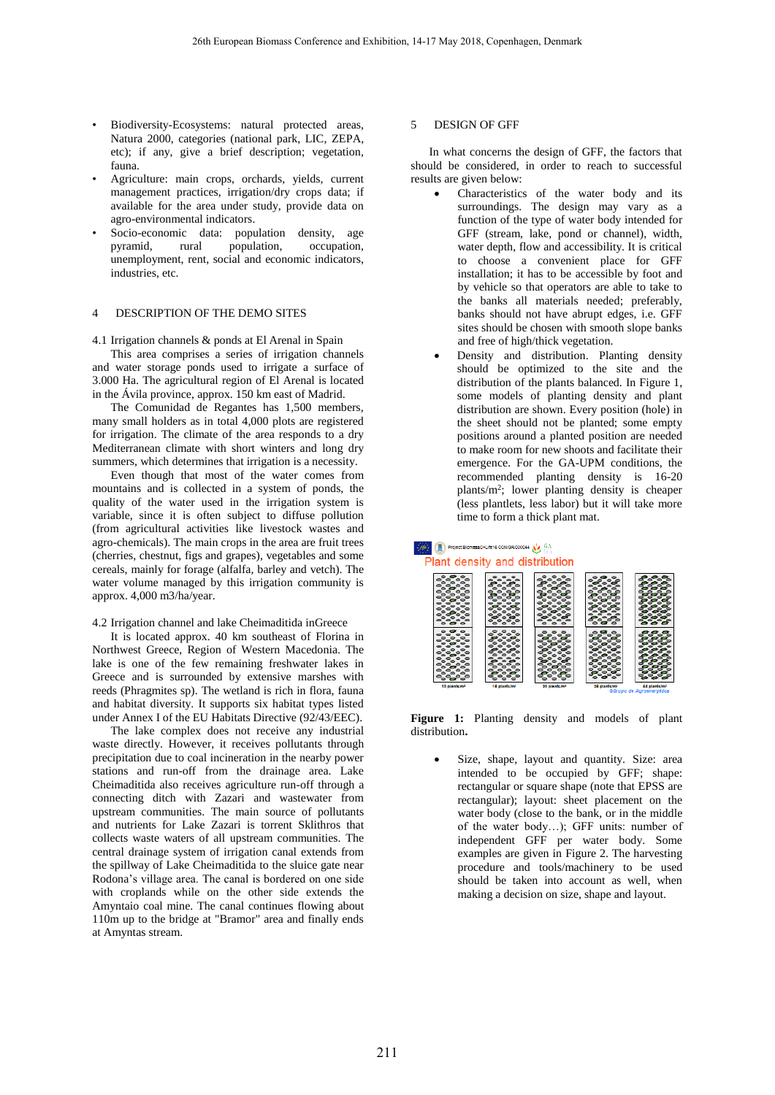- Biodiversity-Ecosystems: natural protected areas, Natura 2000, categories (national park, LIC, ZEPA, etc); if any, give a brief description; vegetation, fauna.
- Agriculture: main crops, orchards, yields, current management practices, irrigation/dry crops data; if available for the area under study, provide data on agro-environmental indicators.
- Socio-economic data: population density, age pyramid, rural population, occupation, unemployment, rent, social and economic indicators, industries, etc.

## 4 DESCRIPTION OF THE DEMO SITES

4.1 Irrigation channels & ponds at El Arenal in Spain

This area comprises a series of irrigation channels and water storage ponds used to irrigate a surface of 3.000 Ha. The agricultural region of El Arenal is located in the Ávila province, approx. 150 km east of Madrid.

The Comunidad de Regantes has 1,500 members, many small holders as in total 4,000 plots are registered for irrigation. The climate of the area responds to a dry Mediterranean climate with short winters and long dry summers, which determines that irrigation is a necessity.

Even though that most of the water comes from mountains and is collected in a system of ponds, the quality of the water used in the irrigation system is variable, since it is often subject to diffuse pollution (from agricultural activities like livestock wastes and agro-chemicals). The main crops in the area are fruit trees (cherries, chestnut, figs and grapes), vegetables and some cereals, mainly for forage (alfalfa, barley and vetch). The water volume managed by this irrigation community is approx. 4,000 m3/ha/year.

### 4.2 Irrigation channel and lake Cheimaditida inGreece

It is located approx. 40 km southeast of Florina in Northwest Greece, Region of Western Macedonia. The lake is one of the few remaining freshwater lakes in Greece and is surrounded by extensive marshes with reeds (Phragmites sp). The wetland is rich in flora, fauna and habitat diversity. It supports six habitat types listed under Annex I of the EU Habitats Directive (92/43/EEC).

The lake complex does not receive any industrial waste directly. However, it receives pollutants through precipitation due to coal incineration in the nearby power stations and run-off from the drainage area. Lake Cheimaditida also receives agriculture run-off through a connecting ditch with Zazari and wastewater from upstream communities. The main source of pollutants and nutrients for Lake Zazari is torrent Sklithros that collects waste waters of all upstream communities. The central drainage system of irrigation canal extends from the spillway of Lake Cheimaditida to the sluice gate near Rodona's village area. The canal is bordered on one side with croplands while on the other side extends the Amyntaio coal mine. The canal continues flowing about 110m up to the bridge at "Bramor" area and finally ends at Amyntas stream.

### 5 DESIGN OF GFF

In what concerns the design of GFF, the factors that should be considered, in order to reach to successful results are given below:

- Characteristics of the water body and its surroundings. The design may vary as a function of the type of water body intended for GFF (stream, lake, pond or channel), width, water depth, flow and accessibility. It is critical to choose a convenient place for GFF installation; it has to be accessible by foot and by vehicle so that operators are able to take to the banks all materials needed; preferably, banks should not have abrupt edges, i.e. GFF sites should be chosen with smooth slope banks and free of high/thick vegetation.
- Density and distribution. Planting density should be optimized to the site and the distribution of the plants balanced. In Figure 1, some models of planting density and plant distribution are shown. Every position (hole) in the sheet should not be planted; some empty positions around a planted position are needed to make room for new shoots and facilitate their emergence. For the GA-UPM conditions, the recommended planting density is 16-20 plants/m<sup>2</sup> ; lower planting density is cheaper (less plantlets, less labor) but it will take more time to form a thick plant mat.

# Project BlomassO+Life16 OCM/GR/000044 NV Plant density and distribution

| $\circ$ $\circ$ $\circ$<br>$\circ \circ \circ \circ$<br>$\circ\circ\circ$<br>$\circ$ $\circ$ $\circ$<br>$\circ$ $\circ$<br>$\circ \circ \circ \circ$<br>000<br>----<br>$\circ$ $\bullet$ $\circ$<br>$\circ$ $\circ$ $\circ$<br>$\circ$ $\circ$ $\circ$<br>----<br>$\bullet$<br>$\bullet$<br>ິ<br>ౌం<br>٠<br>$\bullet$<br>$\bullet$<br>$\bullet$<br>ెంంం<br>$\circ$ $\circ$ $\circ$ | $\bullet$ $\bullet$ $\bullet$<br>$\bullet$ $\bullet$ $\bullet$<br>8°80<br>$\circ\circ\circ$<br>$\circ$ $\circ$ $\circ$<br>---<br>$\circ \circ \circ \circ$<br>ంం<br>$\circ\circ\circ\circ$<br>$\bullet$ $\bullet$<br>.<br>$\circ$ $\circ$<br>$\bullet$<br>$\circ$ $\circ$ $\circ$<br>---<br>$\circ\circ\circ\circ$<br>◛<br>$\bullet$<br>$\bullet$             | $\bullet$<br>$\bullet$<br>67<br>$\circ \circ \circ$<br>÷<br>$\circ$ $\bullet$<br>ď<br>$\circ$ $\circ$<br>$\circ$ $\circ$<br>ించి<br>$\circ\circ\circ$<br>$\bullet$<br>$\bullet$ $\bullet$<br>----<br>$\rightarrow$ $\rightarrow$<br>G<br>$\circ$ . $\circ$<br>$\bullet$ $\bullet$<br>$\bullet$<br>ించి<br>-<br>$\mathbf{r}$<br>$\circ \circ \circ \circ$<br>$\bullet$<br>$\bullet$<br>$\bullet$ | $\bullet$ $\bullet$ $\bullet$<br>0000<br>$\bullet$ $\bullet$<br>----<br>$\circ$ $\circ$<br>$\circ \circ \circ \circ$<br>ಕಿಂದ<br>.<br>$\circ\circ\circ\circ$<br>$\bullet \circ \bullet$<br>- - - -<br>---<br>$  -$<br>$\bullet$ $\bullet$<br>$\circ \circ \circ \circ$<br>$\circ$ $\circ$                                                                                                                                            | $\sim$ $\sim$<br>8000<br>$\sim$ $\sim$ $\sim$<br>$\bullet$ . $\bullet$ . $\bullet$<br>---<br><b>0000</b><br>---<br>$\circ\circ\circ$<br>000<br>$\bullet\bullet\bullet\bullet$<br>ిిి<br>---<br>0.0.0.0<br>---<br>$\circ \circ \circ \circ$<br>--- |
|------------------------------------------------------------------------------------------------------------------------------------------------------------------------------------------------------------------------------------------------------------------------------------------------------------------------------------------------------------------------------------|---------------------------------------------------------------------------------------------------------------------------------------------------------------------------------------------------------------------------------------------------------------------------------------------------------------------------------------------------------------|-------------------------------------------------------------------------------------------------------------------------------------------------------------------------------------------------------------------------------------------------------------------------------------------------------------------------------------------------------------------------------------------------|-------------------------------------------------------------------------------------------------------------------------------------------------------------------------------------------------------------------------------------------------------------------------------------------------------------------------------------------------------------------------------------------------------------------------------------|---------------------------------------------------------------------------------------------------------------------------------------------------------------------------------------------------------------------------------------------------|
| $\bullet$ $\bullet$<br>$\bullet$<br>$\circ$ $\circ$ $\circ$<br>$\sim$<br>$\bullet$<br>ີ໐ັ໐<br>$\circ$ $\circ$<br>$\bullet$<br>$\circ$ $\circ$ $\circ$<br>$\circ$ $\circ$<br>$\bullet$<br>ఄౣఄ<br>$\circ\circ\circ\circ$<br>$\bullet$ $\bullet$ $\bullet$<br>$\circ$ $\circ$ $\circ$<br>$\circ$ $\circ$<br>$\circ$ $\circ$ $\circ$<br>$\circ \circ \circ$<br>.<br>$-1$               | ິ<br>$\bullet$<br>$\bullet$<br>ౌ<br>$\circ \circ \circ$<br>$^{\circ}$<br>$\mathcal{F}$<br>$\circ \circ \circ$<br>$e^{\circ}$<br>$\bullet$<br>$\bullet$<br>$\bullet$<br>0.000<br>-<br>$\circ$<br>$\circ \circ \circ \circ$<br>$\bullet$<br>$\bullet$ $\bullet$<br>$\circ\circ\circ\circ$<br>$\bullet$ $\bullet$<br>----<br>$\bullet$<br>$\bullet$<br>$\bullet$ | $\bullet$<br>$\bullet$<br>-<br>----<br>$\bullet\circ\bullet$<br>ింిం<br>$\circ \circ \circ \circ$<br>$\boldsymbol{\sigma}$ or<br>$\circ \circ \circ \circ$<br>$\circ \circ \circ$<br>ించి<br>ింి<br>ింిం<br>$\circ$ $\bullet$<br>- -<br>Go<br>$\circ\circ\circ$                                                                                                                                 | $\circ$ $\circ$<br>$\bullet$<br>$\circ \circ \circ \circ$<br>$\bullet\circ\bullet$<br>$\circ \circ \circ \circ$<br>$\circ$ $\circ$<br>$\circ \circ \circ \circ$<br>$\bullet$ $\bullet$<br>$\circ$ $\circ$ $\circ$<br>$\mathbf{e}$<br>$\bullet$<br>$\bullet$<br>లించ<br>Φ.<br>$\circ$ $\circ$ $\circ$<br>$\circ$ $\bullet$ $\circ$<br>$\circ \circ \circ \circ$<br>$\bullet$<br>$\bullet$<br>80<br>$\circ$<br>$\bullet$<br>$\bullet$ | . .<br>-<br>$\circ$ $\circ$ $\circ$<br>ఄఄఄఄ<br>ೕಁೢಁೢ<br>ၟၟၟၟၟ<br>ၟၟၟၟၟ<br>$\sim$ $\sim$ $\sim$<br>$\circ \circ \circ \circ$<br>---<br>0.0.00<br>---                                                                                               |

**Figure 1:** Planting density and models of plant distribution**.**

Size, shape, layout and quantity. Size: area intended to be occupied by GFF; shape: rectangular or square shape (note that EPSS are rectangular); layout: sheet placement on the water body (close to the bank, or in the middle of the water body…); GFF units: number of independent GFF per water body. Some examples are given in Figure 2. The harvesting procedure and tools/machinery to be used should be taken into account as well, when making a decision on size, shape and layout.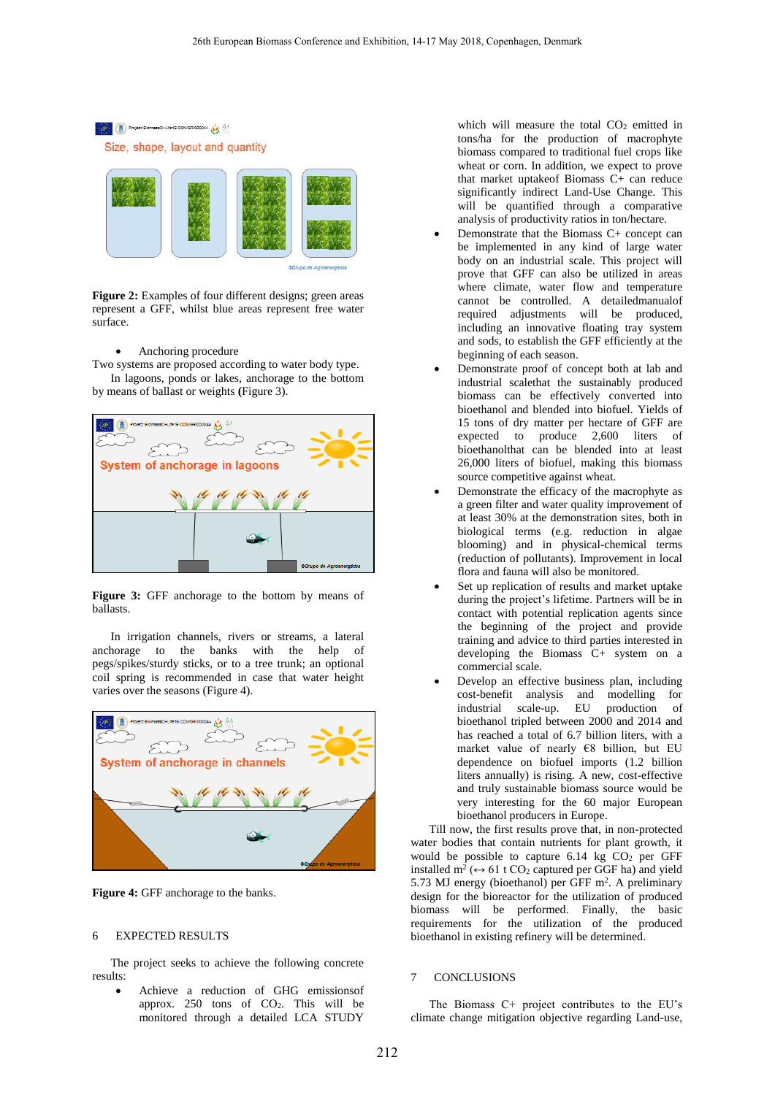

**Figure 2:** Examples of four different designs; green areas represent a GFF, whilst blue areas represent free water surface.

## • Anchoring procedure

Two systems are proposed according to water body type. In lagoons, ponds or lakes, anchorage to the bottom by means of ballast or weights **(**Figure 3).



**Figure 3:** GFF anchorage to the bottom by means of ballasts.

In irrigation channels, rivers or streams, a lateral anchorage to the banks with the help of pegs/spikes/sturdy sticks, or to a tree trunk; an optional coil spring is recommended in case that water height varies over the seasons (Figure 4).



**Figure 4:** GFF anchorage to the banks.

## 6 EXPECTED RESULTS

The project seeks to achieve the following concrete results:

• Achieve a reduction of GHG emissionsof approx. 250 tons of CO2. This will be monitored through a detailed LCA STUDY

which will measure the total  $CO<sub>2</sub>$  emitted in tons/ha for the production of macrophyte biomass compared to traditional fuel crops like wheat or corn. In addition, we expect to prove that market uptakeof Biomass C+ can reduce significantly indirect Land-Use Change. This will be quantified through a comparative analysis of productivity ratios in ton/hectare.

- Demonstrate that the Biomass C+ concept can be implemented in any kind of large water body on an industrial scale. This project will prove that GFF can also be utilized in areas where climate, water flow and temperature cannot be controlled. A detailedmanualof required adjustments will be produced, including an innovative floating tray system and sods, to establish the GFF efficiently at the beginning of each season.
- Demonstrate proof of concept both at lab and industrial scalethat the sustainably produced biomass can be effectively converted into bioethanol and blended into biofuel. Yields of 15 tons of dry matter per hectare of GFF are expected to produce 2,600 liters of bioethanolthat can be blended into at least 26,000 liters of biofuel, making this biomass source competitive against wheat.
- Demonstrate the efficacy of the macrophyte as a green filter and water quality improvement of at least 30% at the demonstration sites, both in biological terms (e.g. reduction in algae blooming) and in physical-chemical terms (reduction of pollutants). Improvement in local flora and fauna will also be monitored.
- Set up replication of results and market uptake during the project's lifetime. Partners will be in contact with potential replication agents since the beginning of the project and provide training and advice to third parties interested in developing the Biomass C+ system on a commercial scale.
- Develop an effective business plan, including cost-benefit analysis and modelling for industrial scale-up. EU production of bioethanol tripled between 2000 and 2014 and has reached a total of 6.7 billion liters, with a market value of nearly €8 billion, but EU dependence on biofuel imports (1.2 billion liters annually) is rising. A new, cost-effective and truly sustainable biomass source would be very interesting for the 60 major European bioethanol producers in Europe.

Till now, the first results prove that, in non-protected water bodies that contain nutrients for plant growth, it would be possible to capture  $6.14$  kg  $CO<sub>2</sub>$  per GFF installed m<sup>2</sup> ( $\leftrightarrow$  61 t CO<sub>2</sub> captured per GGF ha) and yield 5.73 MJ energy (bioethanol) per GFF m<sup>2</sup>. A preliminary design for the bioreactor for the utilization of produced biomass will be performed. Finally, the basic requirements for the utilization of the produced bioethanol in existing refinery will be determined.

### 7 CONCLUSIONS

The Biomass C+ project contributes to the EU's climate change mitigation objective regarding Land-use,